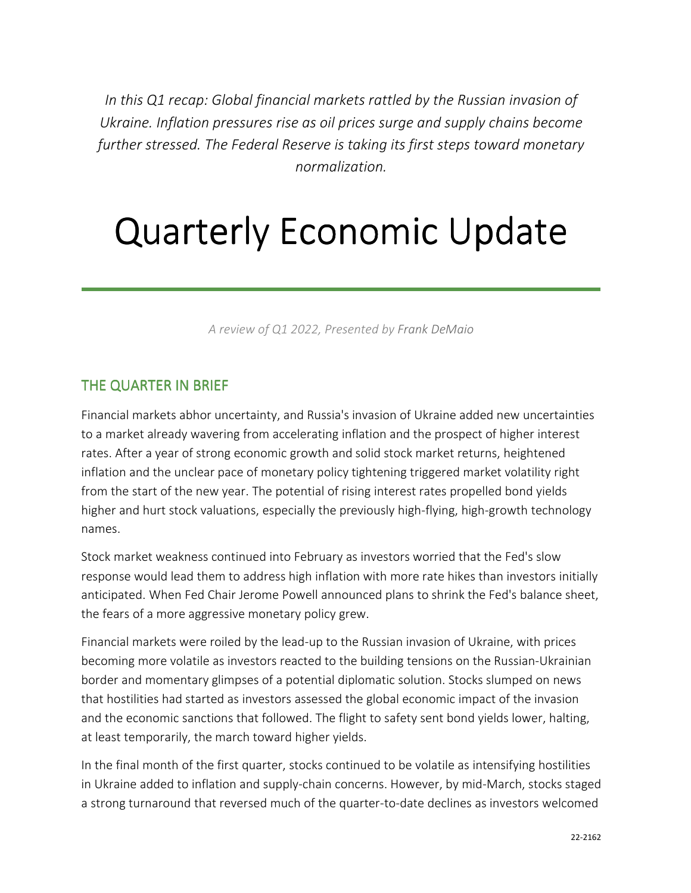*In this Q1 recap: Global financial markets rattled by the Russian invasion of Ukraine. Inflation pressures rise as oil prices surge and supply chains become further stressed. The Federal Reserve is taking its first steps toward monetary normalization.* 

# Quarterly Economic Update

*A review of Q1 2022, Presented by Frank DeMaio*

# THE QUARTER IN BRIEF

Financial markets abhor uncertainty, and Russia's invasion of Ukraine added new uncertainties to a market already wavering from accelerating inflation and the prospect of higher interest rates. After a year of strong economic growth and solid stock market returns, heightened inflation and the unclear pace of monetary policy tightening triggered market volatility right from the start of the new year. The potential of rising interest rates propelled bond yields higher and hurt stock valuations, especially the previously high-flying, high-growth technology names.

Stock market weakness continued into February as investors worried that the Fed's slow response would lead them to address high inflation with more rate hikes than investors initially anticipated. When Fed Chair Jerome Powell announced plans to shrink the Fed's balance sheet, the fears of a more aggressive monetary policy grew.

Financial markets were roiled by the lead-up to the Russian invasion of Ukraine, with prices becoming more volatile as investors reacted to the building tensions on the Russian-Ukrainian border and momentary glimpses of a potential diplomatic solution. Stocks slumped on news that hostilities had started as investors assessed the global economic impact of the invasion and the economic sanctions that followed. The flight to safety sent bond yields lower, halting, at least temporarily, the march toward higher yields.

In the final month of the first quarter, stocks continued to be volatile as intensifying hostilities in Ukraine added to inflation and supply-chain concerns. However, by mid-March, stocks staged a strong turnaround that reversed much of the quarter-to-date declines as investors welcomed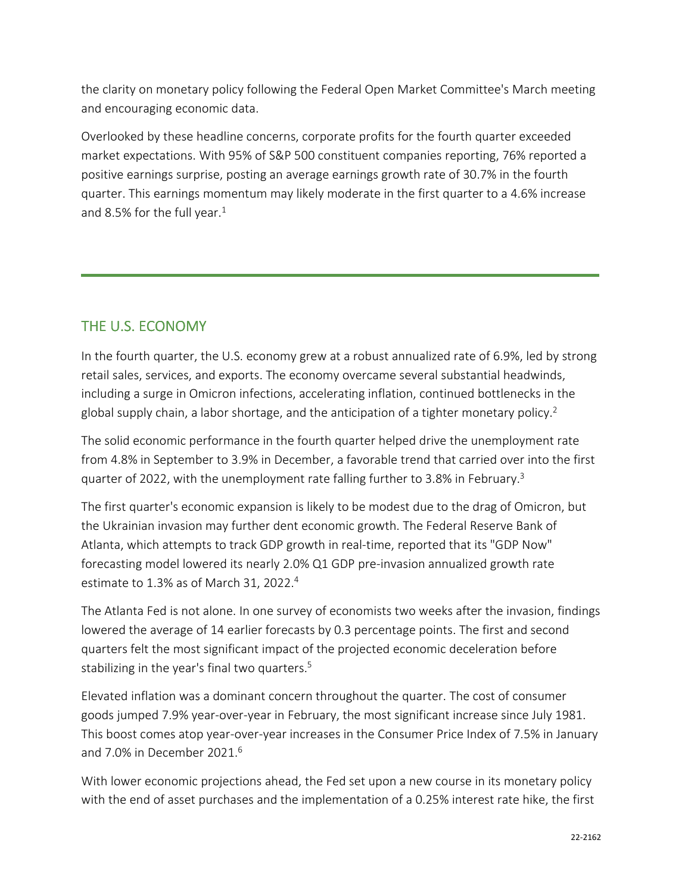the clarity on monetary policy following the Federal Open Market Committee's March meeting and encouraging economic data.

Overlooked by these headline concerns, corporate profits for the fourth quarter exceeded market expectations. With 95% of S&P 500 constituent companies reporting, 76% reported a positive earnings surprise, posting an average earnings growth rate of 30.7% in the fourth quarter. This earnings momentum may likely moderate in the first quarter to a 4.6% increase and 8.5% for the full year.<sup>1</sup>

# THE U.S. ECONOMY

In the fourth quarter, the U.S. economy grew at a robust annualized rate of 6.9%, led by strong retail sales, services, and exports. The economy overcame several substantial headwinds, including a surge in Omicron infections, accelerating inflation, continued bottlenecks in the global supply chain, a labor shortage, and the anticipation of a tighter monetary policy.<sup>2</sup>

The solid economic performance in the fourth quarter helped drive the unemployment rate from 4.8% in September to 3.9% in December, a favorable trend that carried over into the first quarter of 2022, with the unemployment rate falling further to 3.8% in February.<sup>3</sup>

The first quarter's economic expansion is likely to be modest due to the drag of Omicron, but the Ukrainian invasion may further dent economic growth. The Federal Reserve Bank of Atlanta, which attempts to track GDP growth in real-time, reported that its "GDP Now" forecasting model lowered its nearly 2.0% Q1 GDP pre-invasion annualized growth rate estimate to 1.3% as of March 31, 2022.<sup>4</sup>

The Atlanta Fed is not alone. In one survey of economists two weeks after the invasion, findings lowered the average of 14 earlier forecasts by 0.3 percentage points. The first and second quarters felt the most significant impact of the projected economic deceleration before stabilizing in the year's final two quarters.<sup>5</sup>

Elevated inflation was a dominant concern throughout the quarter. The cost of consumer goods jumped 7.9% year-over-year in February, the most significant increase since July 1981. This boost comes atop year-over-year increases in the Consumer Price Index of 7.5% in January and 7.0% in December 2021.<sup>6</sup>

With lower economic projections ahead, the Fed set upon a new course in its monetary policy with the end of asset purchases and the implementation of a 0.25% interest rate hike, the first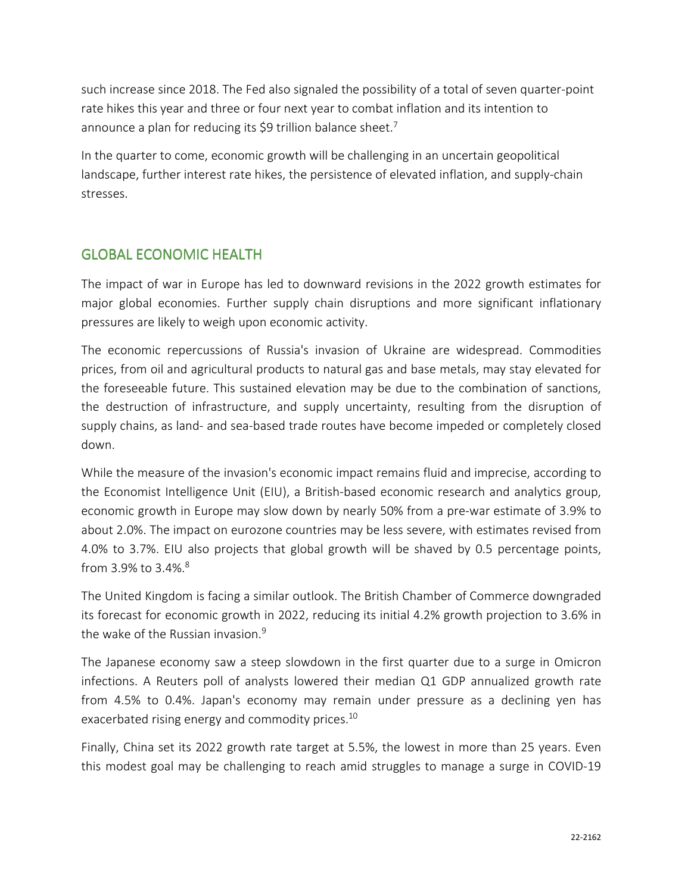such increase since 2018. The Fed also signaled the possibility of a total of seven quarter-point rate hikes this year and three or four next year to combat inflation and its intention to announce a plan for reducing its \$9 trillion balance sheet.<sup>7</sup>

In the quarter to come, economic growth will be challenging in an uncertain geopolitical landscape, further interest rate hikes, the persistence of elevated inflation, and supply-chain stresses.

# **GLOBAL ECONOMIC HEALTH**

The impact of war in Europe has led to downward revisions in the 2022 growth estimates for major global economies. Further supply chain disruptions and more significant inflationary pressures are likely to weigh upon economic activity.

The economic repercussions of Russia's invasion of Ukraine are widespread. Commodities prices, from oil and agricultural products to natural gas and base metals, may stay elevated for the foreseeable future. This sustained elevation may be due to the combination of sanctions, the destruction of infrastructure, and supply uncertainty, resulting from the disruption of supply chains, as land- and sea-based trade routes have become impeded or completely closed down.

While the measure of the invasion's economic impact remains fluid and imprecise, according to the Economist Intelligence Unit (EIU), a British-based economic research and analytics group, economic growth in Europe may slow down by nearly 50% from a pre-war estimate of 3.9% to about 2.0%. The impact on eurozone countries may be less severe, with estimates revised from 4.0% to 3.7%. EIU also projects that global growth will be shaved by 0.5 percentage points, from 3.9% to 3.4%.<sup>8</sup>

The United Kingdom is facing a similar outlook. The British Chamber of Commerce downgraded its forecast for economic growth in 2022, reducing its initial 4.2% growth projection to 3.6% in the wake of the Russian invasion.<sup>9</sup>

The Japanese economy saw a steep slowdown in the first quarter due to a surge in Omicron infections. A Reuters poll of analysts lowered their median Q1 GDP annualized growth rate from 4.5% to 0.4%. Japan's economy may remain under pressure as a declining yen has exacerbated rising energy and commodity prices.<sup>10</sup>

Finally, China set its 2022 growth rate target at 5.5%, the lowest in more than 25 years. Even this modest goal may be challenging to reach amid struggles to manage a surge in COVID-19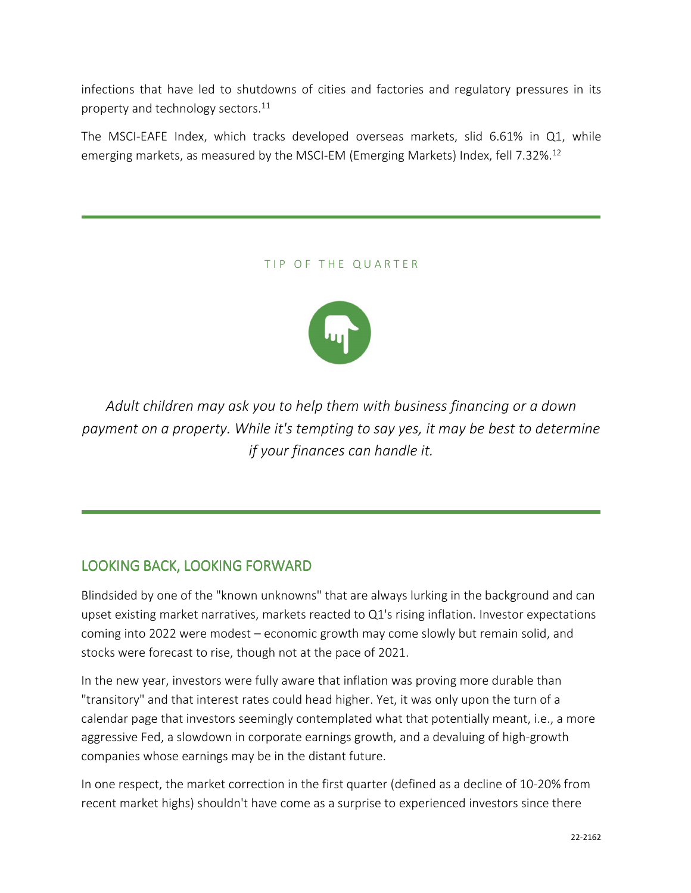infections that have led to shutdowns of cities and factories and regulatory pressures in its property and technology sectors.<sup>11</sup>

The MSCI-EAFE Index, which tracks developed overseas markets, slid 6.61% in Q1, while emerging markets, as measured by the MSCI-EM (Emerging Markets) Index, fell 7.32%.<sup>12</sup>

#### TIP OF THE QUARTER



*Adult children may ask you to help them with business financing or a down payment on a property. While it's tempting to say yes, it may be best to determine if your finances can handle it.* 

# LOOKING BACK, LOOKING FORWARD

Blindsided by one of the "known unknowns" that are always lurking in the background and can upset existing market narratives, markets reacted to Q1's rising inflation. Investor expectations coming into 2022 were modest – economic growth may come slowly but remain solid, and stocks were forecast to rise, though not at the pace of 2021.

In the new year, investors were fully aware that inflation was proving more durable than "transitory" and that interest rates could head higher. Yet, it was only upon the turn of a calendar page that investors seemingly contemplated what that potentially meant, i.e., a more aggressive Fed, a slowdown in corporate earnings growth, and a devaluing of high-growth companies whose earnings may be in the distant future.

In one respect, the market correction in the first quarter (defined as a decline of 10-20% from recent market highs) shouldn't have come as a surprise to experienced investors since there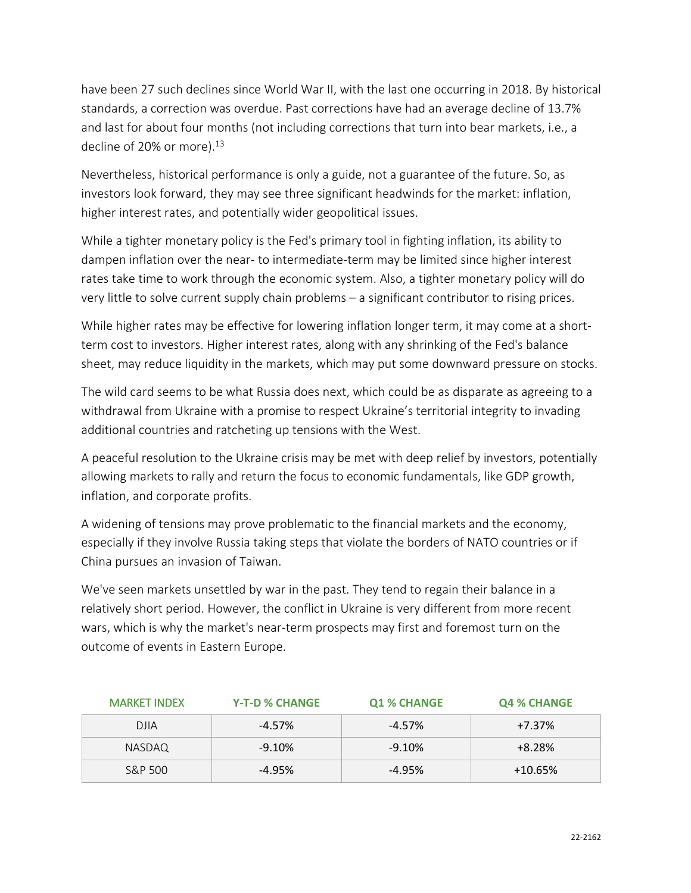have been 27 such declines since World War II, with the last one occurring in 2018. By historical standards, a correction was overdue. Past corrections have had an average decline of 13.7% and last for about four months (not including corrections that turn into bear markets, i.e., a decline of 20% or more).<sup>13</sup>

Nevertheless, historical performance is only a guide, not a guarantee of the future. So, as investors look forward, they may see three significant headwinds for the market: inflation, higher interest rates, and potentially wider geopolitical issues.

While a tighter monetary policy is the Fed's primary tool in fighting inflation, its ability to dampen inflation over the near- to intermediate-term may be limited since higher interest rates take time to work through the economic system. Also, a tighter monetary policy will do very little to solve current supply chain problems – a significant contributor to rising prices.

While higher rates may be effective for lowering inflation longer term, it may come at a shortterm cost to investors. Higher interest rates, along with any shrinking of the Fed's balance sheet, may reduce liquidity in the markets, which may put some downward pressure on stocks.

The wild card seems to be what Russia does next, which could be as disparate as agreeing to a withdrawal from Ukraine with a promise to respect Ukraine's territorial integrity to invading additional countries and ratcheting up tensions with the West.

A peaceful resolution to the Ukraine crisis may be met with deep relief by investors, potentially allowing markets to rally and return the focus to economic fundamentals, like GDP growth, inflation, and corporate profits.

A widening of tensions may prove problematic to the financial markets and the economy, especially if they involve Russia taking steps that violate the borders of NATO countries or if China pursues an invasion of Taiwan.

We've seen markets unsettled by war in the past. They tend to regain their balance in a relatively short period. However, the conflict in Ukraine is very different from more recent wars, which is why the market's near-term prospects may first and foremost turn on the outcome of events in Eastern Europe.

| <b>MARKET INDEX</b> | <b>Y-T-D % CHANGE</b> | <b>Q1 % CHANGE</b> | <b>Q4 % CHANGE</b> |
|---------------------|-----------------------|--------------------|--------------------|
| <b>DJIA</b>         | $-4.57%$              | $-4.57\%$          | $+7.37%$           |
| NASDAQ              | $-9.10%$              | $-9.10%$           | $+8.28%$           |
| S&P 500             | $-4.95%$              | $-4.95\%$          | $+10.65%$          |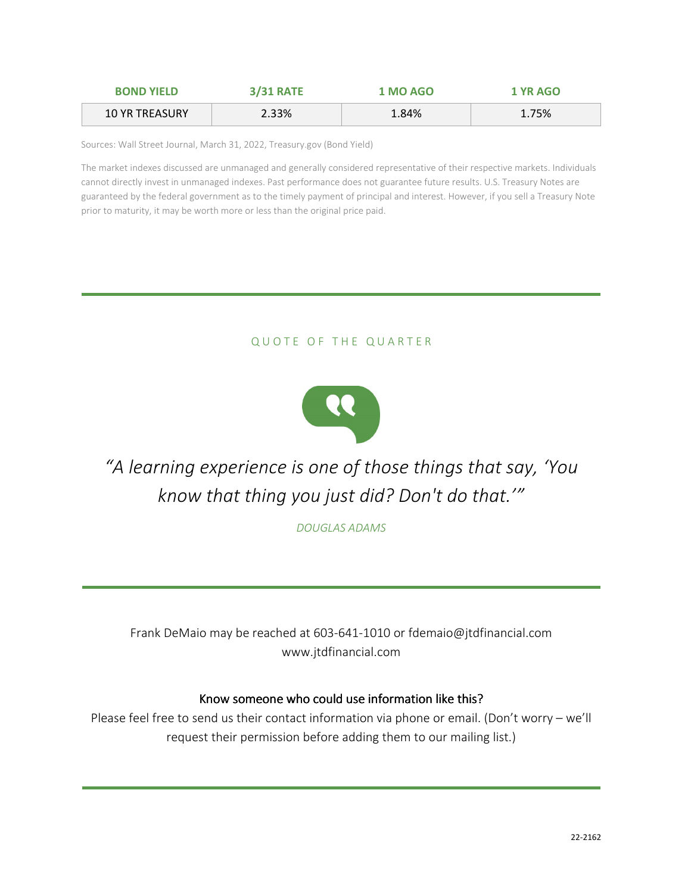| <b>BOND YIELD</b>     | <b>3/31 RATE</b> | 1 MO AGO | 1 YR AGO |
|-----------------------|------------------|----------|----------|
| <b>10 YR TREASURY</b> | 2.33%            | 1.84%    | 1.75%    |

Sources: Wall Street Journal, March 31, 2022, Treasury.gov (Bond Yield)

The market indexes discussed are unmanaged and generally considered representative of their respective markets. Individuals cannot directly invest in unmanaged indexes. Past performance does not guarantee future results. U.S. Treasury Notes are guaranteed by the federal government as to the timely payment of principal and interest. However, if you sell a Treasury Note prior to maturity, it may be worth more or less than the original price paid.

### QUOTE OF THE QUARTER



*"A learning experience is one of those things that say, 'You know that thing you just did? Don't do that.'"* 

*DOUGLAS ADAMS*

Frank DeMaio may be reached at 603-641-1010 or fdemaio@jtdfinancial.com www.jtdfinancial.com

#### Know someone who could use information like this?

Please feel free to send us their contact information via phone or email. (Don't worry – we'll request their permission before adding them to our mailing list.)